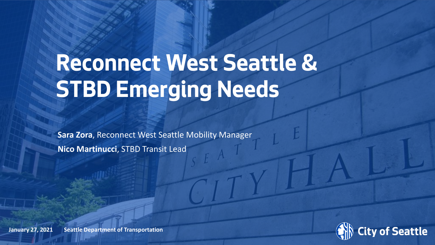# **Reconnect West Seattle & STBD Emerging Needs**

**Sara Zora**, Reconnect West Seattle Mobility Manager **Nico Martinucci**, STBD Transit Lead



**January 27, 2021 Seattle Department of Transportation**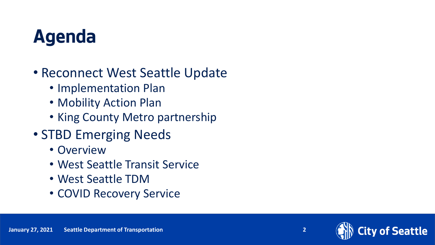### **Agenda**

#### • Reconnect West Seattle Update

- Implementation Plan
- Mobility Action Plan
- King County Metro partnership
- STBD Emerging Needs
	- Overview
	- West Seattle Transit Service
	- West Seattle TDM
	- COVID Recovery Service

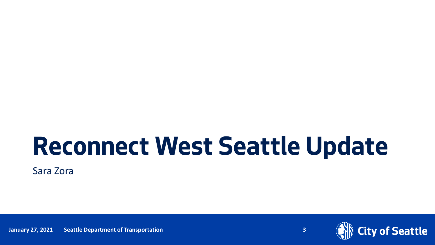# **Reconnect West Seattle Update**

Sara Zora

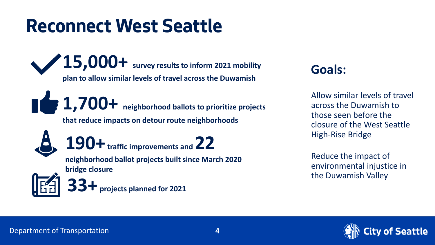#### **Reconnect West Seattle**

**15,000+ survey results to inform 2021 mobility plan to allow similar levels of travel across the Duwamish** 

**1,700+ neighborhood ballots to prioritize projects that reduce impacts on detour route neighborhoods**



**190+traffic improvements and 22 neighborhood ballot projects built since March 2020** 

**bridge closure**

**33+ projects planned for 2021**

#### **Goals:**

Allow similar levels of travel across the Duwamish to those seen before the closure of the West Seattle High-Rise Bridge

Reduce the impact of environmental injustice in the Duwamish Valley

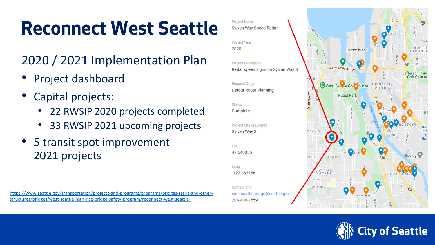#### **Reconnect West Seattle**

#### 2020 / 2021 Implementation Plan

- Project dashboard
- Capital projects:
	- 22 RWSIP 2020 projects completed
	- 33 RWSIP 2021 upcoming projects
- 5 transit spot improvement 2021 projects

[https://www.seattle.gov/transportation/projects-and-programs/programs/bridges-stairs-and-other](https://www.seattle.gov/transportation/projects-and-programs/programs/bridges-stairs-and-other-structures/bridges/west-seattle-high-rise-bridge-safety-program/reconnect-west-seattle-)structures/bridges/west-seattle-high-rise-bridge-safety-program/reconnect-west-seattle-



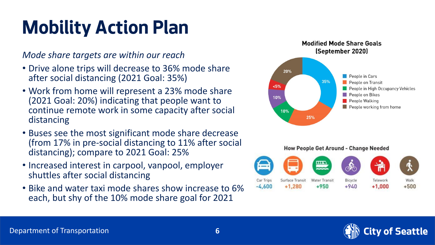### **Mobility Action Plan**

*Mode share targets are within our reach*

- Drive alone trips will decrease to 36% mode share after social distancing (2021 Goal: 35%)
- Work from home will represent a 23% mode share (2021 Goal: 20%) indicating that people want to continue remote work in some capacity after social distancing
- Buses see the most significant mode share decrease (from 17% in pre-social distancing to 11% after social distancing); compare to 2021 Goal: 25%
- Increased interest in carpool, vanpool, employer shuttles after social distancing
- Bike and water taxi mode shares show increase to 6% each, but shy of the 10% mode share goal for 2021



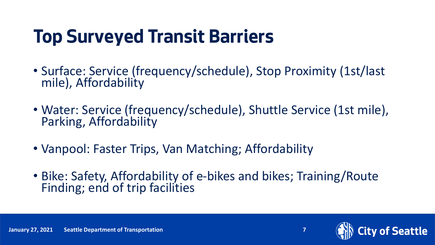### **Top Surveyed Transit Barriers**

- Surface: Service (frequency/schedule), Stop Proximity (1st/last mile), Affordability
- Water: Service (frequency/schedule), Shuttle Service (1st mile), Parking, Affordability
- Vanpool: Faster Trips, Van Matching; Affordability
- Bike: Safety, Affordability of e-bikes and bikes; Training/Route Finding; end of trip facilities



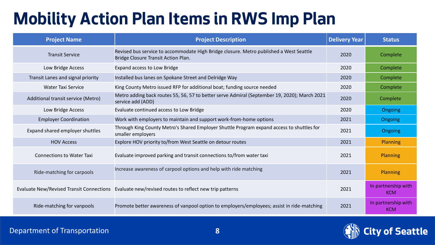#### **Mobility Action Plan Items in RWS Imp Plan**

| <b>Project Name</b>                | <b>Project Description</b>                                                                                                    | <b>Delivery Year</b> | <b>Status</b>                     |
|------------------------------------|-------------------------------------------------------------------------------------------------------------------------------|----------------------|-----------------------------------|
| <b>Transit Service</b>             | Revised bus service to accommodate High Bridge closure. Metro published a West Seattle<br>Bridge Closure Transit Action Plan. | 2020                 | Complete                          |
| Low Bridge Access                  | Expand access to Low Bridge                                                                                                   | 2020                 | Complete                          |
| Transit Lanes and signal priority  | Installed bus lanes on Spokane Street and Delridge Way                                                                        | 2020                 | Complete                          |
| <b>Water Taxi Service</b>          | King County Metro issued RFP for additional boat; funding source needed                                                       | 2020                 | Complete                          |
| Additional transit service (Metro) | Metro adding back routes 55, 56, 57 to better serve Admiral (September 19, 2020); March 2021<br>service add (ADD)             | 2020                 | Complete                          |
| Low Bridge Access                  | Evaluate continued access to Low Bridge                                                                                       | 2020                 | <b>Ongoing</b>                    |
| <b>Employer Coordination</b>       | Work with employers to maintain and support work-from-home options                                                            | 2021                 | <b>Ongoing</b>                    |
| Expand shared employer shuttles    | Through King County Metro's Shared Employer Shuttle Program expand access to shuttles for<br>smaller employers                | 2021                 | Ongoing                           |
| <b>HOV Access</b>                  | Explore HOV priority to/from West Seattle on detour routes                                                                    | 2021                 | <b>Planning</b>                   |
| <b>Connections to Water Taxi</b>   | Evaluate improved parking and transit connections to/from water taxi                                                          | 2021                 | Planning                          |
| Ride-matching for carpools         | Increase awareness of carpool options and help with ride matching                                                             | 2021                 | Planning                          |
|                                    | Evaluate New/Revised Transit Connections Evaluate new/revised routes to reflect new trip patterns                             | 2021                 | In partnership with<br><b>KCM</b> |
| Ride-matching for vanpools         | Promote better awareness of vanpool option to employers/employees; assist in ride-matching                                    | 2021                 | In partnership with<br><b>KCM</b> |

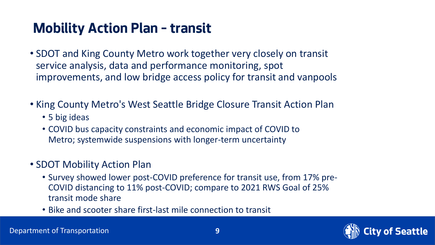#### **Mobility Action Plan – transit**

- SDOT and King County Metro work together very closely on transit service analysis, data and performance monitoring, spot improvements, and low bridge access policy for transit and vanpools
- King County Metro's West Seattle Bridge Closure Transit Action Plan
	- 5 big ideas
	- COVID bus capacity constraints and economic impact of COVID to Metro; systemwide suspensions with longer-term uncertainty
- SDOT Mobility Action Plan
	- Survey showed lower post-COVID preference for transit use, from 17% pre-COVID distancing to 11% post-COVID; compare to 2021 RWS Goal of 25% transit mode share
	- Bike and scooter share first-last mile connection to transit

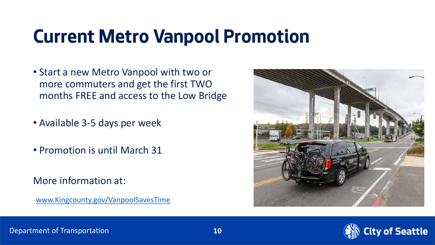#### **Current Metro Vanpool Promotion**

- Start a new Metro Vanpool with two or more commuters and get the first TWO months FREE and access to the Low Bridge
- Available 3-5 days per week
- Promotion is until March 31
- More information at:

[www.Kingcounty.gov/VanpoolSavesTime](http://www.kingcounty.gov/VanpoolSavesTime)



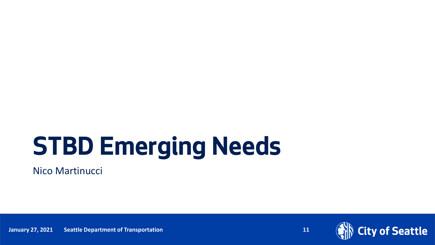# **STBD Emerging Needs**

Nico Martinucci



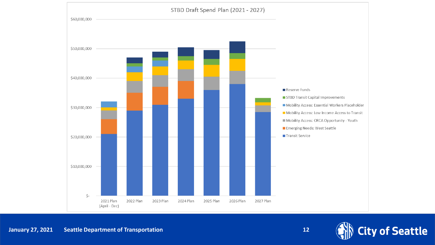

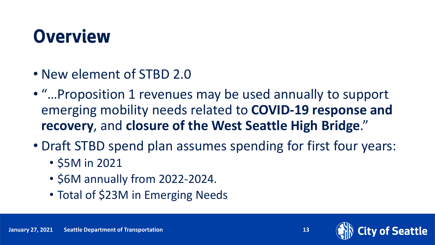#### **Overview**

- New element of STBD 2.0
- "…Proposition 1 revenues may be used annually to support emerging mobility needs related to **COVID-19 response and recovery**, and **closure of the West Seattle High Bridge**."
- Draft STBD spend plan assumes spending for first four years:
	- \$5M in 2021
	- \$6M annually from 2022-2024.
	- Total of \$23M in Emerging Needs

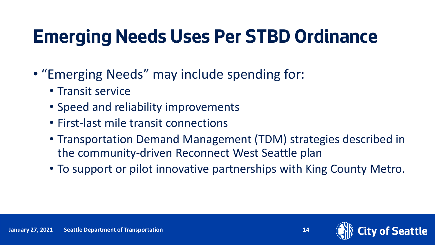### **Emerging Needs Uses Per STBD Ordinance**

- "Emerging Needs" may include spending for:
	- Transit service
	- Speed and reliability improvements
	- First-last mile transit connections
	- Transportation Demand Management (TDM) strategies described in the community-driven Reconnect West Seattle plan
	- To support or pilot innovative partnerships with King County Metro.

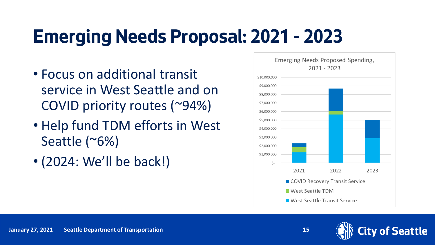### **Emerging Needs Proposal: 2021 - 2023**

- Focus on additional transit service in West Seattle and on COVID priority routes (~94%)
- Help fund TDM efforts in West Seattle (~6%)
- (2024: We'll be back!)



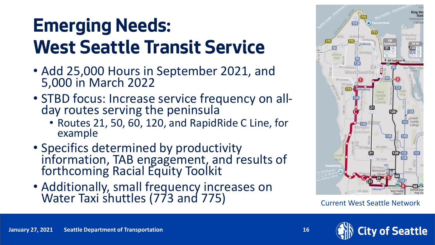### **Emerging Needs: West Seattle Transit Service**

- Add 25,000 Hours in September 2021, and 5,000 in March 2022
- STBD focus: Increase service frequency on allday routes serving the peninsula
	- Routes 21, 50, 60, 120, and RapidRide C Line, for example
- Specifics determined by productivity information, TAB engagement, and results of forthcoming Racial Equity Toolkit
- Additionally, small frequency increases on Water Taxi shuttles (773 and 775) Current West Seattle Network





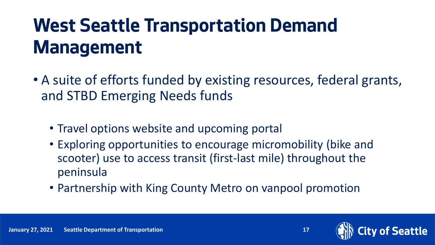### **West Seattle Transportation Demand Management**

- A suite of efforts funded by existing resources, federal grants, and STBD Emerging Needs funds
	- Travel options website and upcoming portal
	- Exploring opportunities to encourage micromobility (bike and scooter) use to access transit (first-last mile) throughout the peninsula
	- Partnership with King County Metro on vanpool promotion

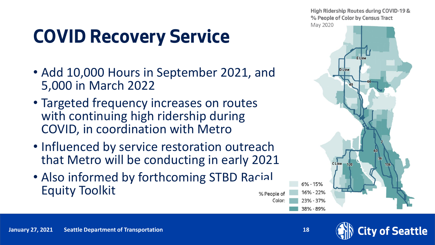### **COVID Recovery Service**

- Add 10,000 Hours in September 2021, and 5,000 in March 2022
- Targeted frequency increases on routes with continuing high ridership during COVID, in coordination with Metro
- Influenced by service restoration outreach that Metro will be conducting in early 2021
- Also informed by forthcoming STBD Racial Equity Toolkit % People of





Color:

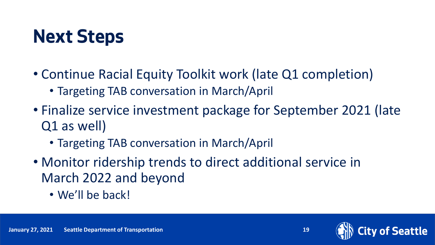#### **Next Steps**

- Continue Racial Equity Toolkit work (late Q1 completion)
	- Targeting TAB conversation in March/April
- Finalize service investment package for September 2021 (late Q1 as well)
	- Targeting TAB conversation in March/April
- Monitor ridership trends to direct additional service in March 2022 and beyond
	- We'll be back!